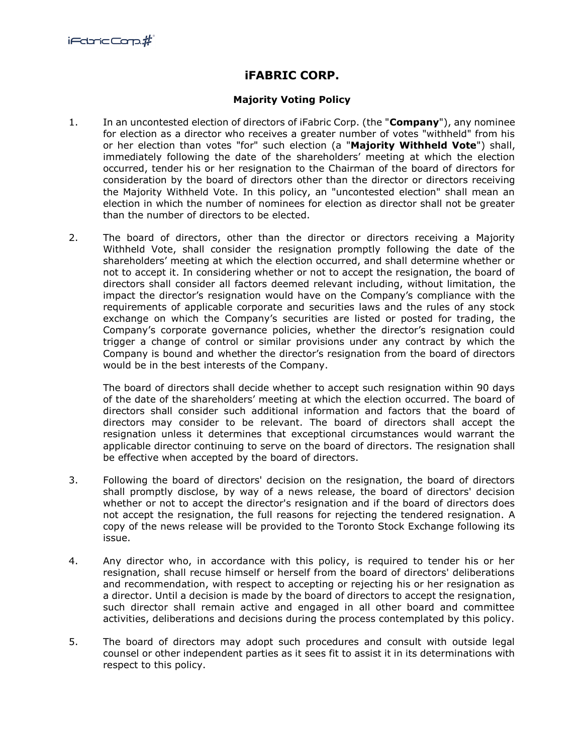## **iFABRIC CORP.**

## **Majority Voting Policy**

- 1. In an uncontested election of directors of iFabric Corp. (the "**Company**"), any nominee for election as a director who receives a greater number of votes "withheld" from his or her election than votes "for" such election (a "**Majority Withheld Vote**") shall, immediately following the date of the shareholders' meeting at which the election occurred, tender his or her resignation to the Chairman of the board of directors for consideration by the board of directors other than the director or directors receiving the Majority Withheld Vote. In this policy, an "uncontested election" shall mean an election in which the number of nominees for election as director shall not be greater than the number of directors to be elected.
- 2. The board of directors, other than the director or directors receiving a Majority Withheld Vote, shall consider the resignation promptly following the date of the shareholders' meeting at which the election occurred, and shall determine whether or not to accept it. In considering whether or not to accept the resignation, the board of directors shall consider all factors deemed relevant including, without limitation, the impact the director's resignation would have on the Company's compliance with the requirements of applicable corporate and securities laws and the rules of any stock exchange on which the Company's securities are listed or posted for trading, the Company's corporate governance policies, whether the director's resignation could trigger a change of control or similar provisions under any contract by which the Company is bound and whether the director's resignation from the board of directors would be in the best interests of the Company.

The board of directors shall decide whether to accept such resignation within 90 days of the date of the shareholders' meeting at which the election occurred. The board of directors shall consider such additional information and factors that the board of directors may consider to be relevant. The board of directors shall accept the resignation unless it determines that exceptional circumstances would warrant the applicable director continuing to serve on the board of directors. The resignation shall be effective when accepted by the board of directors.

- 3. Following the board of directors' decision on the resignation, the board of directors shall promptly disclose, by way of a news release, the board of directors' decision whether or not to accept the director's resignation and if the board of directors does not accept the resignation, the full reasons for rejecting the tendered resignation. A copy of the news release will be provided to the Toronto Stock Exchange following its issue.
- 4. Any director who, in accordance with this policy, is required to tender his or her resignation, shall recuse himself or herself from the board of directors' deliberations and recommendation, with respect to accepting or rejecting his or her resignation as a director. Until a decision is made by the board of directors to accept the resignation, such director shall remain active and engaged in all other board and committee activities, deliberations and decisions during the process contemplated by this policy.
- 5. The board of directors may adopt such procedures and consult with outside legal counsel or other independent parties as it sees fit to assist it in its determinations with respect to this policy.